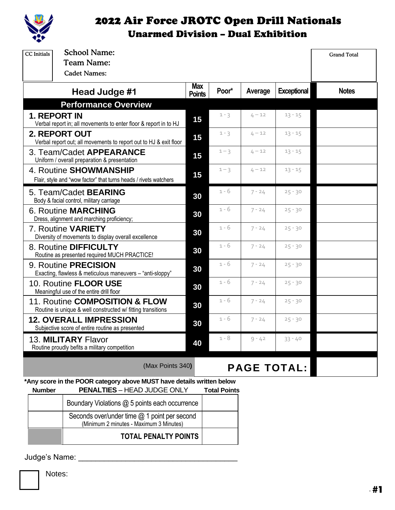

## 2022 Air Force JROTC Open Drill Nationals Unarmed Division – Dual Exhibition

| <b>CC</b> Initials                                                                            | <b>School Name:</b>                                                                                         |               |                     |                    |                    | <b>Grand Total</b> |
|-----------------------------------------------------------------------------------------------|-------------------------------------------------------------------------------------------------------------|---------------|---------------------|--------------------|--------------------|--------------------|
|                                                                                               | <b>Team Name:</b><br><b>Cadet Names:</b>                                                                    |               |                     |                    |                    |                    |
|                                                                                               | Head Judge #1                                                                                               | Max           | Poor*               | Average            | <b>Exceptional</b> | <b>Notes</b>       |
|                                                                                               | <b>Performance Overview</b>                                                                                 | <b>Points</b> |                     |                    |                    |                    |
| <b>1. REPORT IN</b><br>Verbal report in; all movements to enter floor & report in to HJ       |                                                                                                             | 15            | $1 - 3$             | $4 - 12$           | $13 - 15$          |                    |
| <b>2. REPORT OUT</b><br>Verbal report out; all movements to report out to HJ & exit floor     |                                                                                                             | 15            | $1 - 3$             | $4 - 12$           | $13 - 15$          |                    |
| 3. Team/Cadet APPEARANCE<br>Uniform / overall preparation & presentation                      |                                                                                                             | 15            | $1 - 3$             | $4 - 12$           | $13 - 15$          |                    |
| 4. Routine SHOWMANSHIP<br>Flair, style and "wow factor" that turns heads / rivets watchers    |                                                                                                             | 15            | $1 - 3$             | $4 - 12$           | $13 - 15$          |                    |
|                                                                                               | 5. Team/Cadet <b>BEARING</b><br>Body & facial control, military carriage                                    | 30            | 1 - 6               | $7 - 24$           | $25 - 30$          |                    |
| <b>6. Routine MARCHING</b><br>Dress, alignment and marching proficiency;                      |                                                                                                             | 30            | 1 - 6               | $7 - 24$           | $25 - 30$          |                    |
| 7. Routine VARIETY<br>Diversity of movements to display overall excellence                    |                                                                                                             | 30            | $1 - 6$             | $7 - 24$           | $25 - 30$          |                    |
| 8. Routine DIFFICULTY<br>Routine as presented required MUCH PRACTICE!                         |                                                                                                             | 30            | $1 - 6$             | $7 - 24$           | $25 - 30$          |                    |
| 9. Routine PRECISION<br>Exacting, flawless & meticulous maneuvers - "anti-sloppy"             |                                                                                                             | 30            | 1 - 6               | $7 - 24$           | $25 - 30$          |                    |
| 10. Routine <b>FLOOR USE</b><br>Meaningful use of the entire drill floor                      |                                                                                                             | 30            | 1 - 6               | $7 - 24$           | $25 - 30$          |                    |
| 11. Routine COMPOSITION & FLOW<br>Routine is unique & well constructed w/ fitting transitions |                                                                                                             | 30            | $1 - 6$             | $7 - 24$           | $25 - 30$          |                    |
| <b>12. OVERALL IMPRESSION</b><br>Subjective score of entire routine as presented              |                                                                                                             | 30            | $1 - 6$             | $7 - 24$           | $25 - 30$          |                    |
|                                                                                               | 13. MILITARY Flavor<br>Routine proudly befits a military competition                                        | 40            | $1 - 8$             | $9 - 42$           | $33 - 40$          |                    |
|                                                                                               | (Max Points 340)                                                                                            |               |                     | <b>PAGE TOTAL:</b> |                    |                    |
| <b>Number</b>                                                                                 | *Any score in the POOR category above MUST have details written below<br><b>PENALTIES - HEAD JUDGE ONLY</b> |               | <b>Total Points</b> |                    |                    |                    |
|                                                                                               | Boundary Violations @ 5 points each occurrence                                                              |               |                     |                    |                    |                    |
|                                                                                               | Seconds over/under time @ 1 point per second                                                                |               |                     |                    |                    |                    |

(Minimum 2 minutes - Maximum 3 Minutes) **TOTAL PENALTY POINTS**

Judge's Name: \_\_\_\_\_\_\_\_\_\_\_\_\_\_\_\_\_\_\_\_\_\_\_\_\_\_\_\_\_\_\_\_\_\_\_\_\_

Notes: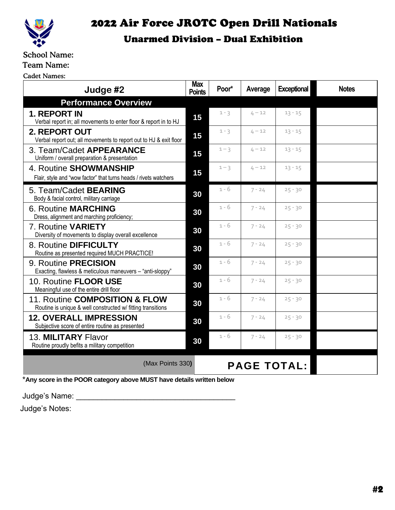

# 2022 Air Force JROTC Open Drill Nationals

## Unarmed Division – Dual Exhibition

### School Name:

Team Name:

Cadet Names:

| Judge #2                                                                                      | <b>Max</b><br><b>Points</b> | Poor*              | Average  | <b>Exceptional</b> | <b>Notes</b> |
|-----------------------------------------------------------------------------------------------|-----------------------------|--------------------|----------|--------------------|--------------|
| <b>Performance Overview</b>                                                                   |                             |                    |          |                    |              |
| <b>1. REPORT IN</b><br>Verbal report in; all movements to enter floor & report in to HJ       | 15                          | $1 - 3$            | $4 - 12$ | $13 - 15$          |              |
| <b>2. REPORT OUT</b><br>Verbal report out; all movements to report out to HJ & exit floor     | 15                          | $1 - 3$            | $4 - 12$ | $13 - 15$          |              |
| 3. Team/Cadet APPEARANCE<br>Uniform / overall preparation & presentation                      | 15                          | $1 - 3$            | $4 - 12$ | $13 - 15$          |              |
| 4. Routine SHOWMANSHIP<br>Flair, style and "wow factor" that turns heads / rivets watchers    | 15                          | $1 - 3$            | $4 - 12$ | $13 - 15$          |              |
| 5. Team/Cadet <b>BEARING</b><br>Body & facial control, military carriage                      | 30                          | 1 - 6              | $7 - 24$ | $25 - 30$          |              |
| <b>6. Routine MARCHING</b><br>Dress, alignment and marching proficiency;                      | 30                          | $1 - 6$            | $7 - 24$ | $25 - 30$          |              |
| 7. Routine VARIETY<br>Diversity of movements to display overall excellence                    | 30                          | $1 - 6$            | $7 - 24$ | $25 - 30$          |              |
| 8. Routine DIFFICULTY<br>Routine as presented required MUCH PRACTICE!                         | 30                          | $1 - 6$            | $7 - 24$ | $25 - 30$          |              |
| 9. Routine PRECISION<br>Exacting, flawless & meticulous maneuvers - "anti-sloppy"             | 30                          | $1 - 6$            | $7 - 24$ | $25 - 30$          |              |
| 10. Routine <b>FLOOR USE</b><br>Meaningful use of the entire drill floor                      | 30                          | $1 - 6$            | $7 - 24$ | $25 - 30$          |              |
| 11. Routine COMPOSITION & FLOW<br>Routine is unique & well constructed w/ fitting transitions | 30                          | $1 - 6$            | $7 - 24$ | $25 - 30$          |              |
| <b>12. OVERALL IMPRESSION</b><br>Subjective score of entire routine as presented              | 30                          | $1 - 6$            | $7 - 24$ | $25 - 30$          |              |
| 13. MILITARY Flavor<br>Routine proudly befits a military competition                          | 30                          | 1 - 6              | $7 - 24$ | $25 - 30$          |              |
| (Max Points 330)                                                                              |                             | <b>PAGE TOTAL:</b> |          |                    |              |

\***Any score in the POOR category above MUST have details written below**

Judge's Name: \_\_\_\_\_\_\_\_\_\_\_\_\_\_\_\_\_\_\_\_\_\_\_\_\_\_\_\_\_\_\_\_\_\_\_\_\_

Judge's Notes: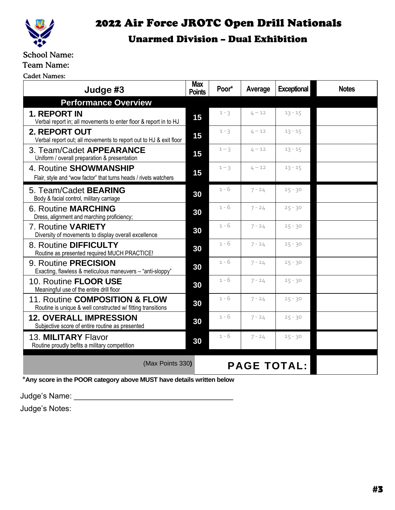

## 2022 Air Force JROTC Open Drill Nationals

### Unarmed Division – Dual Exhibition

### School Name:

Team Name:

Cadet Names:

| Judge #3                                                                                      | <b>Max</b><br><b>Points</b> | Poor*              | Average  | <b>Exceptional</b> | <b>Notes</b> |
|-----------------------------------------------------------------------------------------------|-----------------------------|--------------------|----------|--------------------|--------------|
| <b>Performance Overview</b>                                                                   |                             |                    |          |                    |              |
| <b>1. REPORT IN</b><br>Verbal report in; all movements to enter floor & report in to HJ       | 15                          | $1 - 3$            | $4 - 12$ | $13 - 15$          |              |
| 2. REPORT OUT<br>Verbal report out; all movements to report out to HJ & exit floor            | 15                          | $1 - 3$            | $4 - 12$ | $13 - 15$          |              |
| 3. Team/Cadet APPEARANCE<br>Uniform / overall preparation & presentation                      | 15                          | $1 - 3$            | $4 - 12$ | $13 - 15$          |              |
| 4. Routine SHOWMANSHIP<br>Flair, style and "wow factor" that turns heads / rivets watchers    | 15                          | $1 - 3$            | $4 - 12$ | $13 - 15$          |              |
| 5. Team/Cadet <b>BEARING</b><br>Body & facial control, military carriage                      | 30                          | $1 - 6$            | $7 - 24$ | $25 - 30$          |              |
| <b>6. Routine MARCHING</b><br>Dress, alignment and marching proficiency;                      | 30                          | $1 - 6$            | $7 - 24$ | $25 - 30$          |              |
| 7. Routine VARIETY<br>Diversity of movements to display overall excellence                    | 30                          | $1 - 6$            | $7 - 24$ | $25 - 30$          |              |
| 8. Routine DIFFICULTY<br>Routine as presented required MUCH PRACTICE!                         | 30                          | 1 - 6              | $7 - 24$ | $25 - 30$          |              |
| 9. Routine <b>PRECISION</b><br>Exacting, flawless & meticulous maneuvers - "anti-sloppy"      | 30                          | $1 - 6$            | $7 - 24$ | $25 - 30$          |              |
| 10. Routine FLOOR USE<br>Meaningful use of the entire drill floor                             | 30                          | $1 - 6$            | $7 - 24$ | $25 - 30$          |              |
| 11. Routine COMPOSITION & FLOW<br>Routine is unique & well constructed w/ fitting transitions | 30                          | $1 - 6$            | $7 - 24$ | $25 - 30$          |              |
| <b>12. OVERALL IMPRESSION</b><br>Subjective score of entire routine as presented              | 30                          | $1 - 6$            | $7 - 24$ | $25 - 30$          |              |
| 13. MILITARY Flavor<br>Routine proudly befits a military competition                          | 30                          | 1 - 6              | $7 - 24$ | $25 - 30$          |              |
| (Max Points 330)                                                                              |                             | <b>PAGE TOTAL:</b> |          |                    |              |

\***Any score in the POOR category above MUST have details written below**

Judge's Name: \_\_\_\_\_\_\_\_\_\_\_\_\_\_\_\_\_\_\_\_\_\_\_\_\_\_\_\_\_\_\_\_\_\_\_\_\_

Judge's Notes: